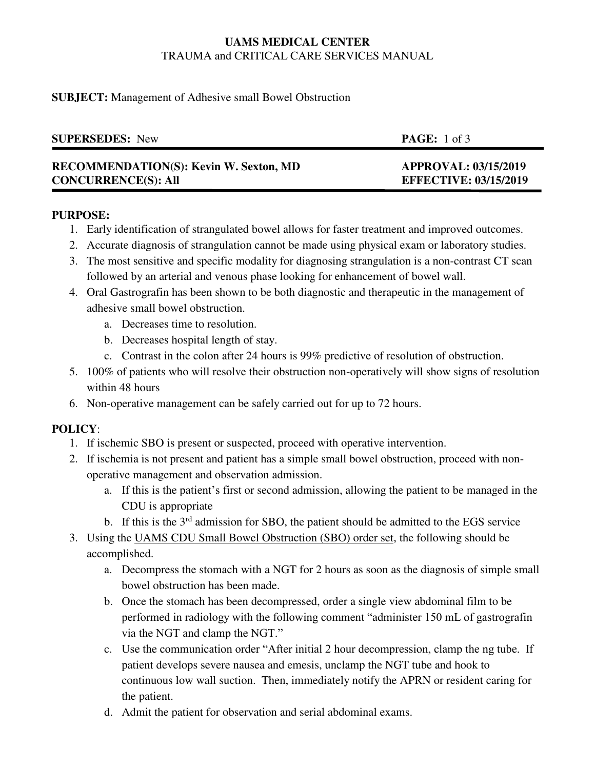# **UAMS MEDICAL CENTER**  TRAUMA and CRITICAL CARE SERVICES MANUAL

## **SUBJECT:** Management of Adhesive small Bowel Obstruction

| <b>SUPERSEDES:</b> New                        | <b>PAGE:</b> 1 of 3          |
|-----------------------------------------------|------------------------------|
| <b>RECOMMENDATION(S): Kevin W. Sexton, MD</b> | <b>APPROVAL: 03/15/2019</b>  |
| <b>CONCURRENCE(S): All</b>                    | <b>EFFECTIVE: 03/15/2019</b> |

#### **PURPOSE:**

- 1. Early identification of strangulated bowel allows for faster treatment and improved outcomes.
- 2. Accurate diagnosis of strangulation cannot be made using physical exam or laboratory studies.
- 3. The most sensitive and specific modality for diagnosing strangulation is a non-contrast CT scan followed by an arterial and venous phase looking for enhancement of bowel wall.
- 4. Oral Gastrografin has been shown to be both diagnostic and therapeutic in the management of adhesive small bowel obstruction.
	- a. Decreases time to resolution.
	- b. Decreases hospital length of stay.
	- c. Contrast in the colon after 24 hours is 99% predictive of resolution of obstruction.
- 5. 100% of patients who will resolve their obstruction non-operatively will show signs of resolution within 48 hours
- 6. Non-operative management can be safely carried out for up to 72 hours.

## **POLICY**:

- 1. If ischemic SBO is present or suspected, proceed with operative intervention.
- 2. If ischemia is not present and patient has a simple small bowel obstruction, proceed with nonoperative management and observation admission.
	- a. If this is the patient's first or second admission, allowing the patient to be managed in the CDU is appropriate
	- b. If this is the 3<sup>rd</sup> admission for SBO, the patient should be admitted to the EGS service
- 3. Using the UAMS CDU Small Bowel Obstruction (SBO) order set, the following should be accomplished.
	- a. Decompress the stomach with a NGT for 2 hours as soon as the diagnosis of simple small bowel obstruction has been made.
	- b. Once the stomach has been decompressed, order a single view abdominal film to be performed in radiology with the following comment "administer 150 mL of gastrografin via the NGT and clamp the NGT."
	- c. Use the communication order "After initial 2 hour decompression, clamp the ng tube. If patient develops severe nausea and emesis, unclamp the NGT tube and hook to continuous low wall suction. Then, immediately notify the APRN or resident caring for the patient.
	- d. Admit the patient for observation and serial abdominal exams.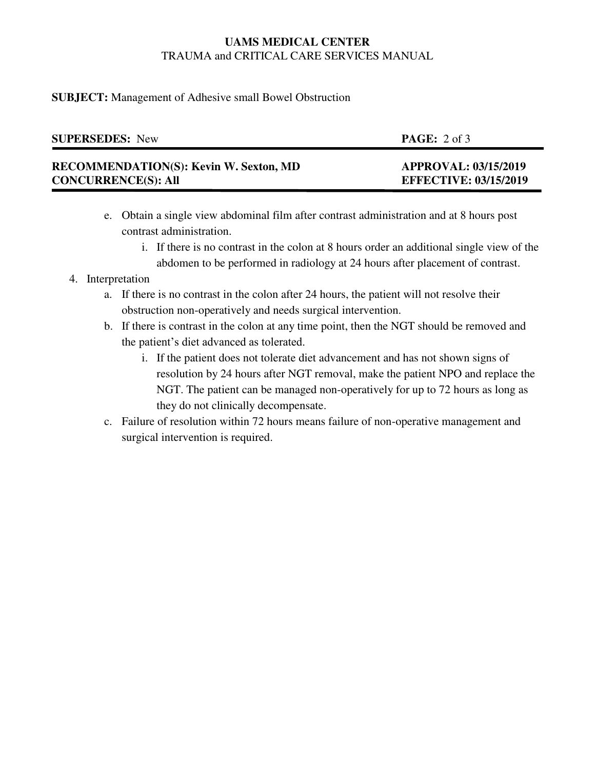# **UAMS MEDICAL CENTER**  TRAUMA and CRITICAL CARE SERVICES MANUAL

### **SUBJECT:** Management of Adhesive small Bowel Obstruction

| <b>SUPERSEDES:</b> New                        | <b>PAGE:</b> $2 \text{ of } 3$ |
|-----------------------------------------------|--------------------------------|
| <b>RECOMMENDATION(S): Kevin W. Sexton, MD</b> | <b>APPROVAL: 03/15/2019</b>    |
| <b>CONCURRENCE(S): All</b>                    | <b>EFFECTIVE: 03/15/2019</b>   |

- e. Obtain a single view abdominal film after contrast administration and at 8 hours post contrast administration.
	- i. If there is no contrast in the colon at 8 hours order an additional single view of the abdomen to be performed in radiology at 24 hours after placement of contrast.

## 4. Interpretation

- a. If there is no contrast in the colon after 24 hours, the patient will not resolve their obstruction non-operatively and needs surgical intervention.
- b. If there is contrast in the colon at any time point, then the NGT should be removed and the patient's diet advanced as tolerated.
	- i. If the patient does not tolerate diet advancement and has not shown signs of resolution by 24 hours after NGT removal, make the patient NPO and replace the NGT. The patient can be managed non-operatively for up to 72 hours as long as they do not clinically decompensate.
- c. Failure of resolution within 72 hours means failure of non-operative management and surgical intervention is required.